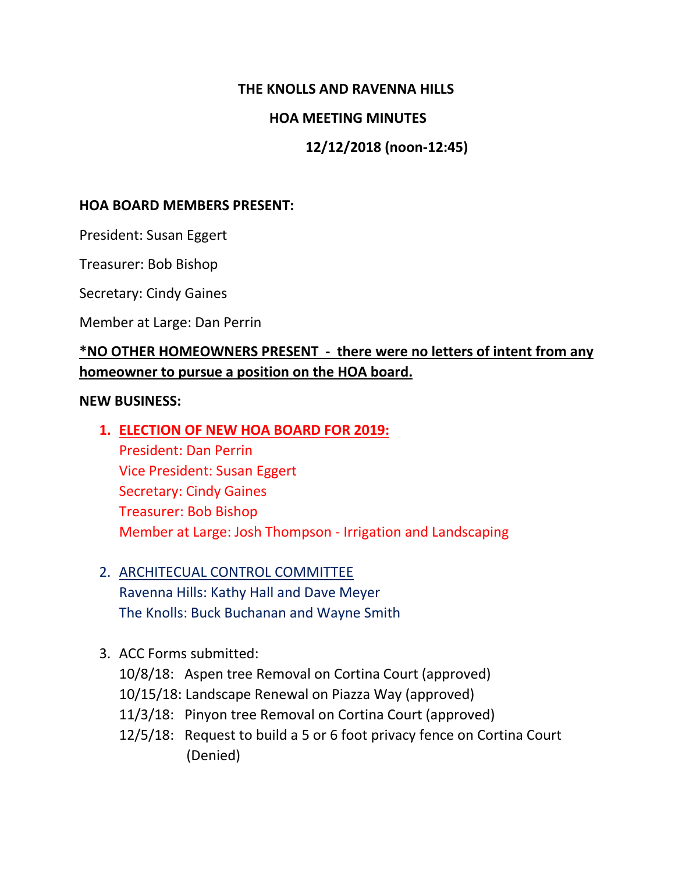### **THE KNOLLS AND RAVENNA HILLS**

#### **HOA MEETING MINUTES**

## **12/12/2018 (noon-12:45)**

#### **HOA BOARD MEMBERS PRESENT:**

President: Susan Eggert

Treasurer: Bob Bishop

Secretary: Cindy Gaines

Member at Large: Dan Perrin

## **\*NO OTHER HOMEOWNERS PRESENT - there were no letters of intent from any homeowner to pursue a position on the HOA board.**

#### **NEW BUSINESS:**

**1. ELECTION OF NEW HOA BOARD FOR 2019:**

President: Dan Perrin Vice President: Susan Eggert Secretary: Cindy Gaines Treasurer: Bob Bishop Member at Large: Josh Thompson - Irrigation and Landscaping

- 2. ARCHITECUAL CONTROL COMMITTEE Ravenna Hills: Kathy Hall and Dave Meyer The Knolls: Buck Buchanan and Wayne Smith
- 3. ACC Forms submitted:

10/8/18: Aspen tree Removal on Cortina Court (approved) 10/15/18: Landscape Renewal on Piazza Way (approved) 11/3/18: Pinyon tree Removal on Cortina Court (approved) 12/5/18: Request to build a 5 or 6 foot privacy fence on Cortina Court (Denied)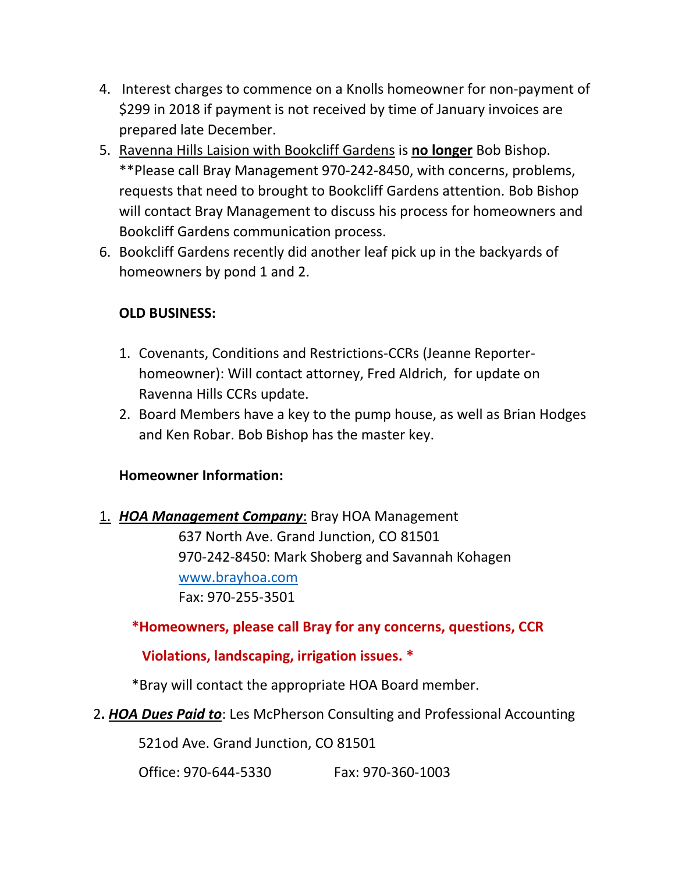- 4. Interest charges to commence on a Knolls homeowner for non-payment of \$299 in 2018 if payment is not received by time of January invoices are prepared late December.
- 5. Ravenna Hills Laision with Bookcliff Gardens is **no longer** Bob Bishop. \*\*Please call Bray Management 970-242-8450, with concerns, problems, requests that need to brought to Bookcliff Gardens attention. Bob Bishop will contact Bray Management to discuss his process for homeowners and Bookcliff Gardens communication process.
- 6. Bookcliff Gardens recently did another leaf pick up in the backyards of homeowners by pond 1 and 2.

## **OLD BUSINESS:**

- 1. Covenants, Conditions and Restrictions-CCRs (Jeanne Reporterhomeowner): Will contact attorney, Fred Aldrich, for update on Ravenna Hills CCRs update.
- 2. Board Members have a key to the pump house, as well as Brian Hodges and Ken Robar. Bob Bishop has the master key.

## **Homeowner Information:**

1. *HOA Management Company*: Bray HOA Management 637 North Ave. Grand Junction, CO 81501 970-242-8450: Mark Shoberg and Savannah Kohagen [www.brayhoa.com](http://www.brayhoa.com/) Fax: 970-255-3501

 **\*Homeowners, please call Bray for any concerns, questions, CCR** 

## **Violations, landscaping, irrigation issues. \***

\*Bray will contact the appropriate HOA Board member.

2**.** *HOA Dues Paid to*: Les McPherson Consulting and Professional Accounting

521od Ave. Grand Junction, CO 81501

Office: 970-644-5330 Fax: 970-360-1003